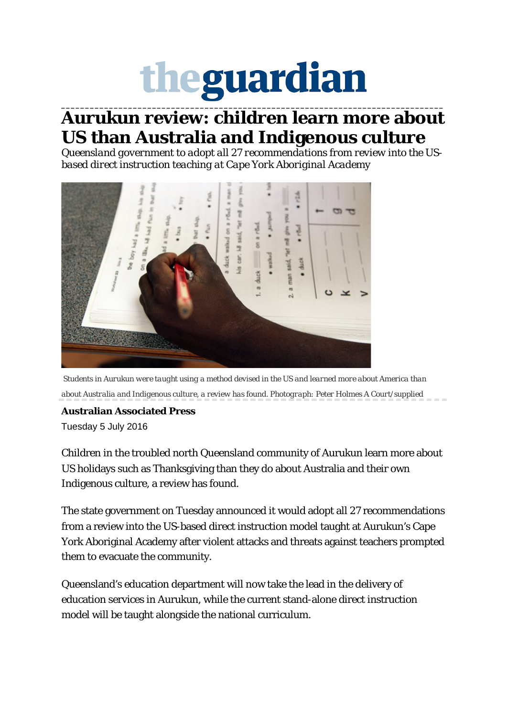## theguardian **\_\_\_\_\_\_\_\_\_\_\_\_\_\_\_\_\_\_\_\_\_\_\_\_\_\_\_\_\_\_\_\_\_\_\_\_\_\_\_\_\_\_\_\_\_\_\_\_\_\_\_\_\_\_\_\_\_\_\_\_\_\_\_\_\_\_\_\_\_\_\_\_\_\_\_\_\_\_\_\_**

## **Aurukun review: children learn more about US than Australia and Indigenous culture**

*Queensland government to adopt all 27 recommendations from review into the USbased direct instruction teaching at Cape York Aboriginal Academy*



*Students in Aurukun were taught using a method devised in the US and learned more about America than about Australia and Indigenous culture, a review has found. Photograph: Peter Holmes A Court/supplied*

## **Australian Associated Press**

Tuesday 5 July 2016

Children in the troubled north Queensland community of Aurukun learn more about US holidays such as Thanksgiving than they do about Australia and their own Indigenous culture, a review has found.

The state government on Tuesday announced it would adopt all 27 recommendations from a review into the US-based direct instruction model taught at Aurukun's Cape York Aboriginal Academy after violent attacks and [threats against teachers prompted](https://www.theguardian.com/australia-news/2016/may/10/aurukun-teachers-evacuated-after-alleged-carjacking-in-indigenous-community)  [them to evacuate the community.](https://www.theguardian.com/australia-news/2016/may/10/aurukun-teachers-evacuated-after-alleged-carjacking-in-indigenous-community)

Queensland's education department will now take the lead in the delivery of education services in Aurukun, while the current stand-alone direct instruction model will be taught alongside the national curriculum.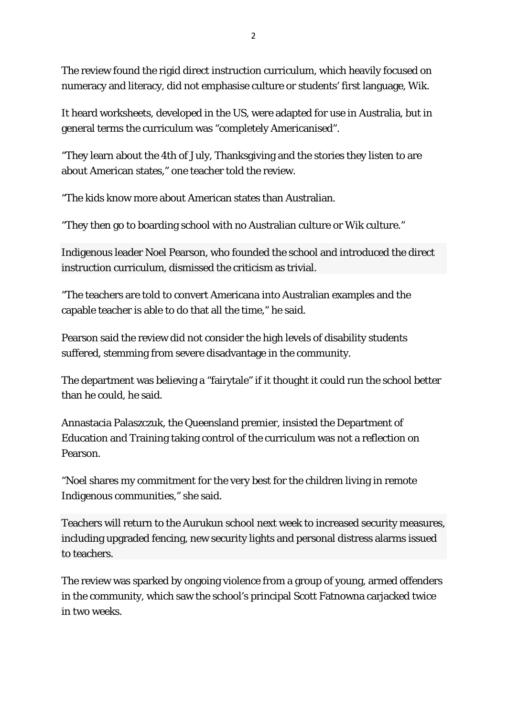The review found the rigid direct instruction curriculum, which heavily focused on numeracy and literacy, did not emphasise culture or students' first language, Wik.

It heard worksheets, developed in the US, were adapted for use in Australia, but in general terms the curriculum was "completely Americanised".

"They learn about the 4th of July, Thanksgiving and the stories they listen to are about American states," one teacher told the review.

"The kids know more about American states than Australian.

"They then go to boarding school with no Australian culture or Wik culture."

Indigenous leader Noel Pearson, who founded the school and introduced the direct instruction curriculum, dismissed the criticism as trivial.

"The teachers are told to convert Americana into Australian examples and the capable teacher is able to do that all the time," he said.

Pearson said the review did not consider the high levels of disability students suffered, stemming from severe disadvantage in the community.

The department was believing a "fairytale" if it thought it could run the school better than he could, he said.

Annastacia Palaszczuk, the Queensland premier, insisted the Department of Education and Training taking control of the curriculum was not a reflection on Pearson.

"Noel shares my commitment for the very best for the children living in remote Indigenous communities," she said.

Teachers will return to the Aurukun school next week to increased security measures, including upgraded fencing, new security lights and personal distress alarms issued to teachers.

The review was sparked by ongoing violence from a group of young, armed offenders in the community, which saw the school's principal Scott Fatnowna carjacked twice in two weeks.